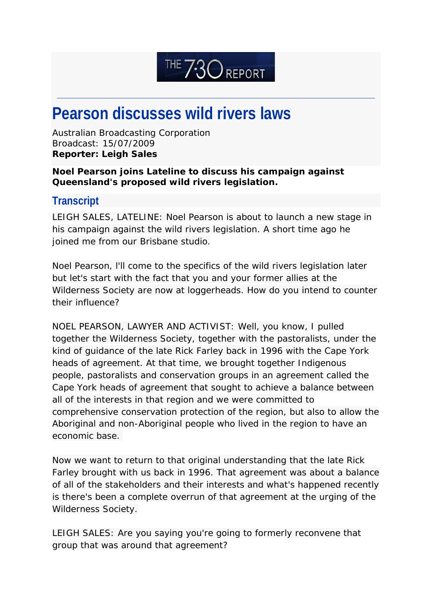## THE 730 REPORT

\_\_\_\_\_\_\_\_\_\_\_\_\_\_\_\_\_\_\_\_\_\_\_\_\_\_\_\_\_\_\_\_\_\_\_\_\_\_\_\_\_\_\_\_\_\_\_\_\_\_\_\_\_\_\_\_\_\_\_\_\_\_\_\_\_\_\_\_\_\_\_\_\_\_\_\_\_\_\_\_\_\_\_\_\_\_\_\_\_\_\_\_\_\_\_\_\_\_\_\_\_\_\_\_\_\_\_\_\_\_\_\_\_\_\_\_\_\_\_\_

## **Pearson discusses wild rivers laws**

Australian Broadcasting Corporation Broadcast: 15/07/2009 **Reporter: Leigh Sales**

## *Noel Pearson joins Lateline to discuss his campaign against Queensland's proposed wild rivers legislation.*

## **Transcript**

LEIGH SALES, LATELINE: Noel Pearson is about to launch a new stage in his campaign against the wild rivers legislation. A short time ago he joined me from our Brisbane studio.

Noel Pearson, l'll come to the specifics of the wild rivers legislation later but let's start with the fact that you and your former allies at the Wilderness Society are now at loggerheads. How do you intend to counter their influence?

NOEL PEARSON, LAWYER AND ACTIVIST: Well, you know, I pulled together the Wilderness Society, together with the pastoralists, under the kind of guidance of the late Rick Farley back in 1996 with the Cape York heads of agreement. At that time, we brought together Indigenous people, pastoralists and conservation groups in an agreement called the Cape York heads of agreement that sought to achieve a balance between all of the interests in that region and we were committed to comprehensive conservation protection of the region, but also to allow the Aboriginal and non-Aboriginal people who lived in the region to have an economic base.

Now we want to return to that original understanding that the late Rick Farley brought with us back in 1996. That agreement was about a balance of all of the stakeholders and their interests and what's happened recently is there's been a complete overrun of that agreement at the urging of the Wilderness Society.

LEIGH SALES: Are you saying you're going to formerly reconvene that group that was around that agreement?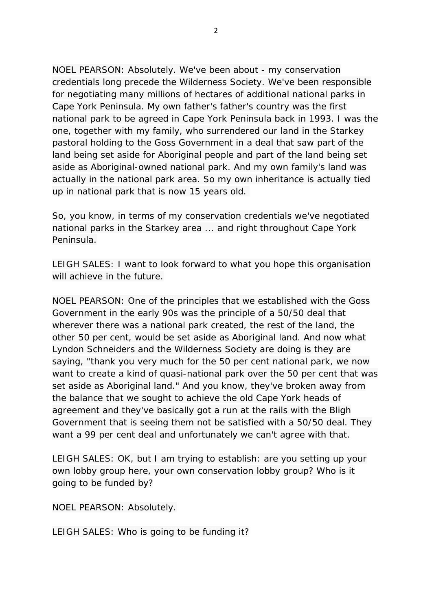NOEL PEARSON: Absolutely. We've been about - my conservation credentials long precede the Wilderness Society. We've been responsible for negotiating many millions of hectares of additional national parks in Cape York Peninsula. My own father's father's country was the first national park to be agreed in Cape York Peninsula back in 1993. I was the one, together with my family, who surrendered our land in the Starkey pastoral holding to the Goss Government in a deal that saw part of the land being set aside for Aboriginal people and part of the land being set aside as Aboriginal-owned national park. And my own family's land was actually in the national park area. So my own inheritance is actually tied up in national park that is now 15 years old.

So, you know, in terms of my conservation credentials we've negotiated national parks in the Starkey area ... and right throughout Cape York Peninsula.

LEIGH SALES: I want to look forward to what you hope this organisation will achieve in the future.

NOEL PEARSON: One of the principles that we established with the Goss Government in the early 90s was the principle of a 50/50 deal that wherever there was a national park created, the rest of the land, the other 50 per cent, would be set aside as Aboriginal land. And now what Lyndon Schneiders and the Wilderness Society are doing is they are saying, "thank you very much for the 50 per cent national park, we now want to create a kind of quasi-national park over the 50 per cent that was set aside as Aboriginal land." And you know, they've broken away from the balance that we sought to achieve the old Cape York heads of agreement and they've basically got a run at the rails with the Bligh Government that is seeing them not be satisfied with a 50/50 deal. They want a 99 per cent deal and unfortunately we can't agree with that.

LEIGH SALES: OK, but I am trying to establish: are you setting up your own lobby group here, your own conservation lobby group? Who is it going to be funded by?

NOEL PEARSON: Absolutely.

LEIGH SALES: Who is going to be funding it?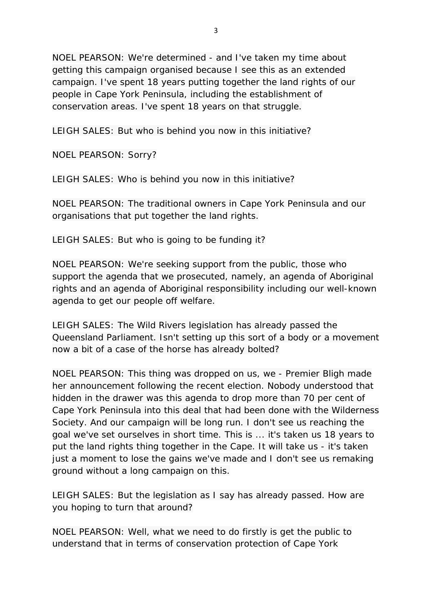NOEL PEARSON: We're determined - and I've taken my time about getting this campaign organised because I see this as an extended campaign. I've spent 18 years putting together the land rights of our people in Cape York Peninsula, including the establishment of conservation areas. I've spent 18 years on that struggle.

LEIGH SALES: But who is behind you now in this initiative?

NOEL PEARSON: Sorry?

LEIGH SALES: Who is behind you now in this initiative?

NOEL PEARSON: The traditional owners in Cape York Peninsula and our organisations that put together the land rights.

LEIGH SALES: But who is going to be funding it?

NOEL PEARSON: We're seeking support from the public, those who support the agenda that we prosecuted, namely, an agenda of Aboriginal rights and an agenda of Aboriginal responsibility including our well-known agenda to get our people off welfare.

LEIGH SALES: The Wild Rivers legislation has already passed the Queensland Parliament. Isn't setting up this sort of a body or a movement now a bit of a case of the horse has already bolted?

NOEL PEARSON: This thing was dropped on us, we - Premier Bligh made her announcement following the recent election. Nobody understood that hidden in the drawer was this agenda to drop more than 70 per cent of Cape York Peninsula into this deal that had been done with the Wilderness Society. And our campaign will be long run. I don't see us reaching the goal we've set ourselves in short time. This is ... it's taken us 18 years to put the land rights thing together in the Cape. It will take us - it's taken just a moment to lose the gains we've made and I don't see us remaking ground without a long campaign on this.

LEIGH SALES: But the legislation as I say has already passed. How are you hoping to turn that around?

NOEL PEARSON: Well, what we need to do firstly is get the public to understand that in terms of conservation protection of Cape York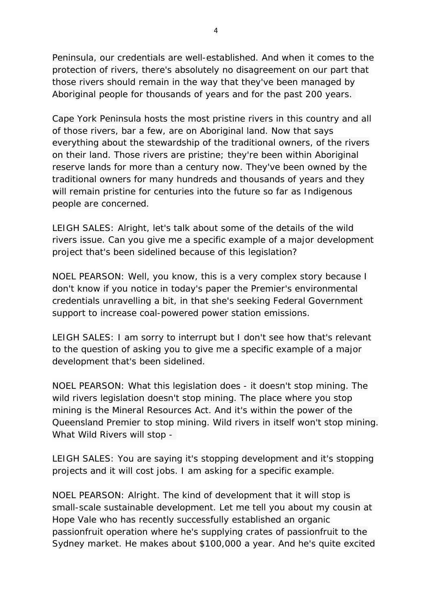Peninsula, our credentials are well-established. And when it comes to the protection of rivers, there's absolutely no disagreement on our part that those rivers should remain in the way that they've been managed by Aboriginal people for thousands of years and for the past 200 years.

Cape York Peninsula hosts the most pristine rivers in this country and all of those rivers, bar a few, are on Aboriginal land. Now that says everything about the stewardship of the traditional owners, of the rivers on their land. Those rivers are pristine; they're been within Aboriginal reserve lands for more than a century now. They've been owned by the traditional owners for many hundreds and thousands of years and they will remain pristine for centuries into the future so far as Indigenous people are concerned.

LEIGH SALES: Alright, let's talk about some of the details of the wild rivers issue. Can you give me a specific example of a major development project that's been sidelined because of this legislation?

NOEL PEARSON: Well, you know, this is a very complex story because I don't know if you notice in today's paper the Premier's environmental credentials unravelling a bit, in that she's seeking Federal Government support to increase coal-powered power station emissions.

LEIGH SALES: I am sorry to interrupt but I don't see how that's relevant to the question of asking you to give me a specific example of a major development that's been sidelined.

NOEL PEARSON: What this legislation does - it doesn't stop mining. The wild rivers legislation doesn't stop mining. The place where you stop mining is the Mineral Resources Act. And it's within the power of the Queensland Premier to stop mining. Wild rivers in itself won't stop mining. What Wild Rivers will stop -

LEIGH SALES: You are saying it's stopping development and it's stopping projects and it will cost jobs. I am asking for a specific example.

NOEL PEARSON: Alright. The kind of development that it will stop is small-scale sustainable development. Let me tell you about my cousin at Hope Vale who has recently successfully established an organic passionfruit operation where he's supplying crates of passionfruit to the Sydney market. He makes about \$100,000 a year. And he's quite excited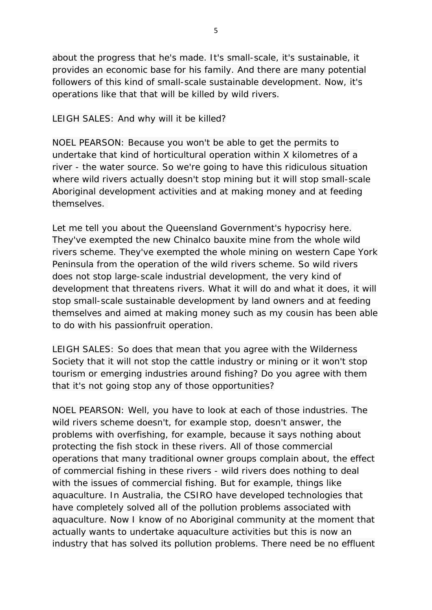about the progress that he's made. It's small-scale, it's sustainable, it provides an economic base for his family. And there are many potential followers of this kind of small-scale sustainable development. Now, it's operations like that that will be killed by wild rivers.

LEIGH SALES: And why will it be killed?

NOEL PEARSON: Because you won't be able to get the permits to undertake that kind of horticultural operation within X kilometres of a river - the water source. So we're going to have this ridiculous situation where wild rivers actually doesn't stop mining but it will stop small-scale Aboriginal development activities and at making money and at feeding themselves.

Let me tell you about the Queensland Government's hypocrisy here. They've exempted the new Chinalco bauxite mine from the whole wild rivers scheme. They've exempted the whole mining on western Cape York Peninsula from the operation of the wild rivers scheme. So wild rivers does not stop large-scale industrial development, the very kind of development that threatens rivers. What it will do and what it does, it will stop small-scale sustainable development by land owners and at feeding themselves and aimed at making money such as my cousin has been able to do with his passionfruit operation.

LEIGH SALES: So does that mean that you agree with the Wilderness Society that it will not stop the cattle industry or mining or it won't stop tourism or emerging industries around fishing? Do you agree with them that it's not going stop any of those opportunities?

NOEL PEARSON: Well, you have to look at each of those industries. The wild rivers scheme doesn't, for example stop, doesn't answer, the problems with overfishing, for example, because it says nothing about protecting the fish stock in these rivers. All of those commercial operations that many traditional owner groups complain about, the effect of commercial fishing in these rivers - wild rivers does nothing to deal with the issues of commercial fishing. But for example, things like aquaculture. In Australia, the CSIRO have developed technologies that have completely solved all of the pollution problems associated with aquaculture. Now I know of no Aboriginal community at the moment that actually wants to undertake aquaculture activities but this is now an industry that has solved its pollution problems. There need be no effluent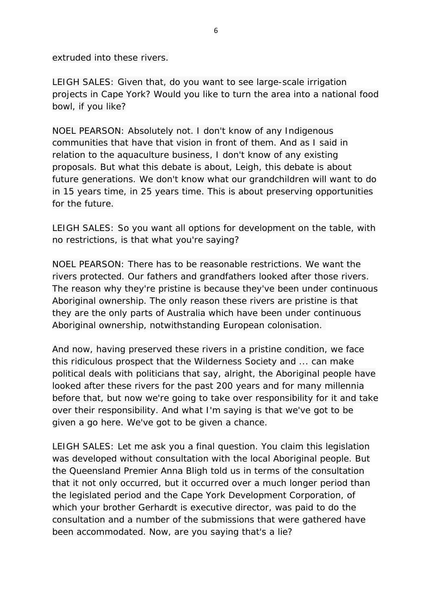extruded into these rivers.

LEIGH SALES: Given that, do you want to see large-scale irrigation projects in Cape York? Would you like to turn the area into a national food bowl, if you like?

NOEL PEARSON: Absolutely not. I don't know of any Indigenous communities that have that vision in front of them. And as I said in relation to the aquaculture business, I don't know of any existing proposals. But what this debate is about, Leigh, this debate is about future generations. We don't know what our grandchildren will want to do in 15 years time, in 25 years time. This is about preserving opportunities for the future.

LEIGH SALES: So you want all options for development on the table, with no restrictions, is that what you're saying?

NOEL PEARSON: There has to be reasonable restrictions. We want the rivers protected. Our fathers and grandfathers looked after those rivers. The reason why they're pristine is because they've been under continuous Aboriginal ownership. The only reason these rivers are pristine is that they are the only parts of Australia which have been under continuous Aboriginal ownership, notwithstanding European colonisation.

And now, having preserved these rivers in a pristine condition, we face this ridiculous prospect that the Wilderness Society and ... can make political deals with politicians that say, alright, the Aboriginal people have looked after these rivers for the past 200 years and for many millennia before that, but now we're going to take over responsibility for it and take over their responsibility. And what I'm saying is that we've got to be given a go here. We've got to be given a chance.

LEIGH SALES: Let me ask you a final question. You claim this legislation was developed without consultation with the local Aboriginal people. But the Queensland Premier Anna Bligh told us in terms of the consultation that it not only occurred, but it occurred over a much longer period than the legislated period and the Cape York Development Corporation, of which your brother Gerhardt is executive director, was paid to do the consultation and a number of the submissions that were gathered have been accommodated. Now, are you saying that's a lie?